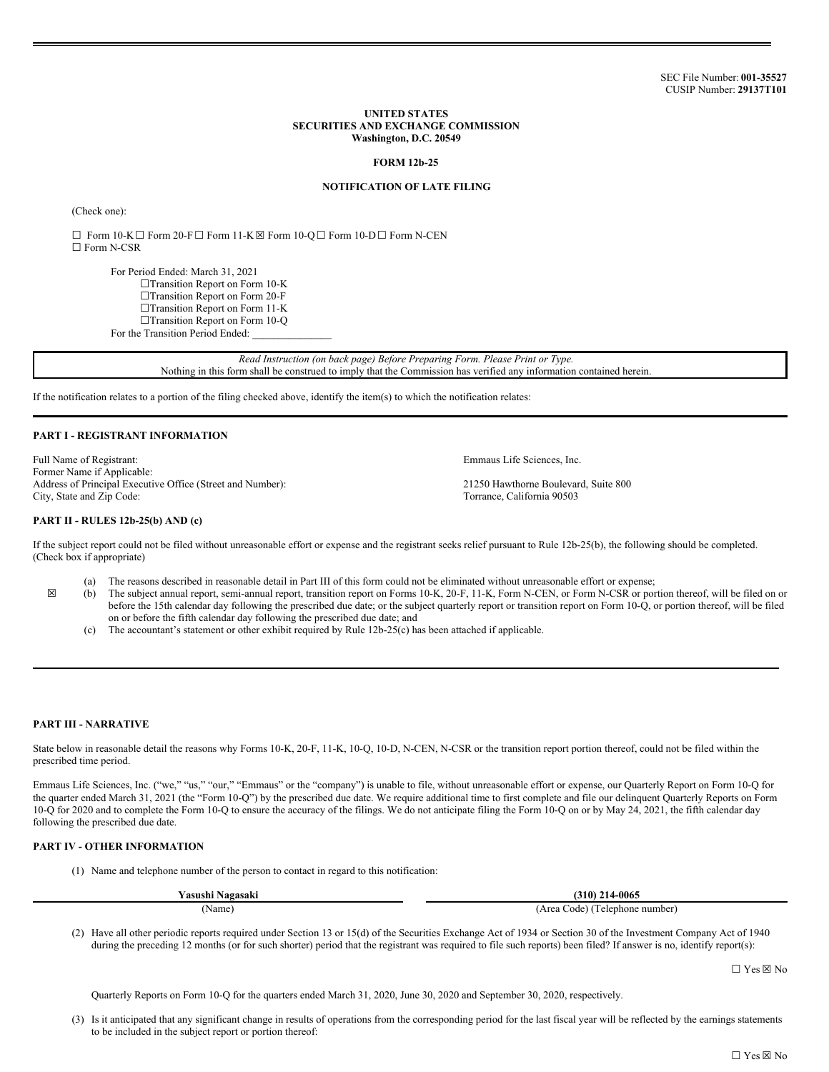#### **UNITED STATES SECURITIES AND EXCHANGE COMMISSION Washington, D.C. 20549**

## **FORM 12b-25**

# **NOTIFICATION OF LATE FILING**

(Check one):

☐ Form 10-K☐ Form 20-F☐ Form 11-K☒ Form 10-Q☐ Form 10-D☐ Form N-CEN ☐ Form N-CSR

For Period Ended: March 31, 2021 ☐Transition Report on Form 10-K ☐Transition Report on Form 20-F ☐Transition Report on Form 11-K ☐Transition Report on Form 10-Q For the Transition Period Ended:

> *Read Instruction (on back page) Before Preparing Form. Please Print or Type.* Nothing in this form shall be construed to imply that the Commission has verified any information contained herein.

If the notification relates to a portion of the filing checked above, identify the item(s) to which the notification relates:

### **PART I - REGISTRANT INFORMATION**

Full Name of Registrant: Emmaus Life Sciences, Inc. Former Name if Applicable: Address of Principal Executive Office (Street and Number): 21250 Hawthorne Boulevard, Suite 800 City, State and Zip Code: Torrance, California 90503

### **PART II - RULES 12b-25(b) AND (c)**

If the subject report could not be filed without unreasonable effort or expense and the registrant seeks relief pursuant to Rule 12b-25(b), the following should be completed. (Check box if appropriate)

- (a) The reasons described in reasonable detail in Part III of this form could not be eliminated without unreasonable effort or expense;
- $\boxtimes$  (b) The subject annual report, semi-annual report, transition report on Forms 10-K, 20-F, 11-K, Form N-CEN, or Form N-CSR or portion thereof, will be filed on or before the 15th calendar day following the prescribed due date; or the subject quarterly report or transition report on Form 10-Q, or portion thereof, will be filed on or before the fifth calendar day following the prescribed due date; and
	- (c) The accountant's statement or other exhibit required by Rule 12b-25(c) has been attached if applicable.

## **PART III - NARRATIVE**

State below in reasonable detail the reasons why Forms 10-K, 20-F, 11-K, 10-Q, 10-D, N-CEN, N-CSR or the transition report portion thereof, could not be filed within the prescribed time period.

Emmaus Life Sciences, Inc. ("we," "us," "our," "Emmaus" or the "company") is unable to file, without unreasonable effort or expense, our Quarterly Report on Form 10-Q for the quarter ended March 31, 2021 (the "Form 10-Q") by the prescribed due date. We require additional time to first complete and file our delinquent Quarterly Reports on Form 10-Q for 2020 and to complete the Form 10-Q to ensure the accuracy of the filings. We do not anticipate filing the Form 10-Q on or by May 24, 2021, the fifth calendar day following the prescribed due date.

## **PART IV - OTHER INFORMATION**

(1) Name and telephone number of the person to contact in regard to this notification:

| Yasushi Nagasaki | $(310)$ 214-0065                                               |
|------------------|----------------------------------------------------------------|
| 'Name)           | Area<br>(Telephone number)<br>$\mathrm{Code}$<br>$\sim$ $\sim$ |

(2) Have all other periodic reports required under Section 13 or 15(d) of the Securities Exchange Act of 1934 or Section 30 of the Investment Company Act of 1940 during the preceding 12 months (or for such shorter) period that the registrant was required to file such reports) been filed? If answer is no, identify report(s):

☐ Yes ☒ No

Quarterly Reports on Form 10-Q for the quarters ended March 31, 2020, June 30, 2020 and September 30, 2020, respectively.

(3) Is it anticipated that any significant change in results of operations from the corresponding period for the last fiscal year will be reflected by the earnings statements to be included in the subject report or portion thereof: